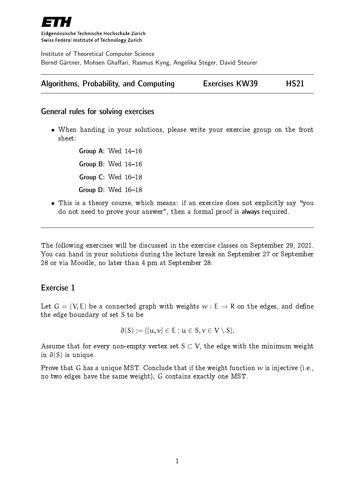

Eidgenössische Technische Hochschule Zürich Swiss Federal Institute of Technology Zurich

Institute of Theoretical Computer Science Bernd Gärtner, Mohsen Ghaffari, Rasmus Kyng, Angelika Steger, David Steurer

|  | <b>Algorithms, Probability, and Computing</b> | <b>Exercises KW39</b> |  | <b>HS21</b> |
|--|-----------------------------------------------|-----------------------|--|-------------|
|--|-----------------------------------------------|-----------------------|--|-------------|

#### General rules for solving exercises

 When handing in your solutions, please write your exercise group on the front sheet:

> Group A: Wed  $14-16$ Group B: Wed  $14-16$ Group C: Wed  $16-18$ Group  $D$ : Wed  $16-18$

• This is a theory course, which means: if an exercise does not explicitly say "you do not need to prove your answer", then a formal proof is always required.

The following exercises will be discussed in the exercise classes on September 29, 2021. You can hand in your solutions during the lecture break on September 27 or September 28 or via Moodle, no later than 4 pm at September 28.

### Exercise 1

Let  $G = (V, E)$  be a connected graph with weights  $w : E \to R$  on the edges, and define the edge boundary of set S to be

$$
\partial(S) := \{ \{u, v\} \in E : u \in S, v \in V \setminus S \}.
$$

Assume that for every non-empty vertex set  $S \subset V$ , the edge with the minimum weight in ∂(S) is unique.

Prove that G has a unique MST. Conclude that if the weight function  $w$  is injective (i.e., no two edges have the same weight), G contains exactly one MST.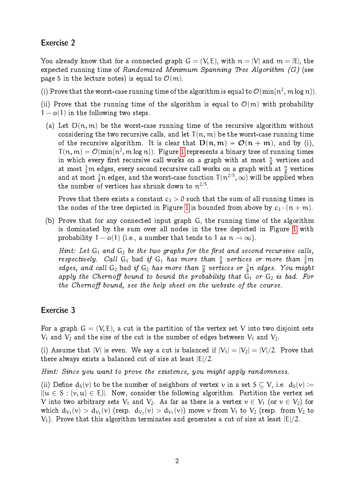# Exercise 2

You already know that for a connected graph  $G = (V, E)$ , with  $n = |V|$  and  $m = |E|$ , the expected running time of Randomized Minimum Spanning Tree Algorithm  $(G)$  (see page 5 in the lecture notes) is equal to  $\mathcal{O}(m)$ .

(i) Prove that the worst-case running time of the algorithm is equal to  $\mathcal{O}(\min\{n^2,\, \mathrm{m}\log n\}).$ 

(ii) Prove that the running time of the algorithm is equal to  $\mathcal{O}(m)$  with probability  $1 - o(1)$  in the following two steps.

(a) Let  $D(n, m)$  be the worst-case running time of the recursive algorithm without considering the two recursive calls, and let  $T(n, m)$  be the worst-case running time of the recursive algorithm. It is clear that  $D(n, m) = \mathcal{O}(n + m)$ , and by (i),  $\mathsf{T}(\mathfrak{n},\mathfrak{m}) = \mathcal{O}(\min\{\mathfrak{n}^2,\mathfrak{m}\log\mathfrak{n}\}).$  Figure [1](#page-2-0) represents a binary tree of running times in which every first recursive call works on a graph with at most  $\frac{n}{8}$  vertices and at most  $\frac{3}{4}$ m edges, every second recursive call works on a graph with at  $\frac{n}{8}$  vertices and at most  $\frac{3}{8}$ n edges, and the worst-case function  $T(n^{2/5}, \infty)$  will be applied when the number of vertices has shrunk down to  $n^{2/5}$ .

Prove that there exists a constant  $c_3 > 0$  such that the sum of all running times in the nodes of the tree depicted in Figure [1](#page-2-0) is bounded from above by  $c_3 \cdot (n + m)$ .

(b) Prove that for any connected input graph G, the running time of the algorithm is dominated by the sum over all nodes in the tree depicted in Figure [1](#page-2-0) with probability  $1 - o(1)$  (i.e., a number that tends to 1 as  $n \to \infty$ ).

Hint: Let  $G_1$  and  $G_2$  be the two graphs for the first and second recursive calls, respectively. Call  $G_1$  bad if  $G_1$  has more than  $\frac{n}{8}$  vertices or more than  $\frac{3}{4}$ m edges, and call  $G_2$  bad if  $G_2$  has more than  $\frac{n}{8}$  vertices or  $\frac{3}{8}n$  edges. You might apply the Chernoff bound to bound the probability that  $G_1$  or  $G_2$  is bad. For the Chernoff bound, see the help sheet on the website of the course.

## Exercise 3

For a graph  $G = (V, E)$ , a cut is the partition of the vertex set V into two disjoint sets  $V_1$  and  $V_2$  and the size of the cut is the number of edges between  $V_1$  and  $V_2$ .

(i) Assume that |V| is even. We say a cut is balanced if  $|V_1| = |V_2| = |V|/2$ . Prove that there always exists a balanced cut of size at least  $|E|/2$ .

Hint: Since you want to prove the existence, you might apply randomness.

(ii) Define  $d_S(v)$  to be the number of neighbors of vertex v in a set  $S \subset V$ , i.e.  $d_S(v) :=$  $|\{u \in S : \{v, u\} \in E\}|$ . Now, consider the following algorithm. Partition the vertex set V into two arbitrary sets  $V_1$  and  $V_2$ . As far as there is a vertex  $v \in V_1$  (or  $v \in V_2$ ) for which  $d_{V_1}(v) > d_{V_2}(v)$  (resp.  $d_{V_2}(v) > d_{V_1}(v)$ ) move  $v$  from  $V_1$  to  $V_2$  (resp. from  $V_2$  to  $V_1$ ). Prove that this algorithm terminates and generates a cut of size at least  $|E|/2$ .